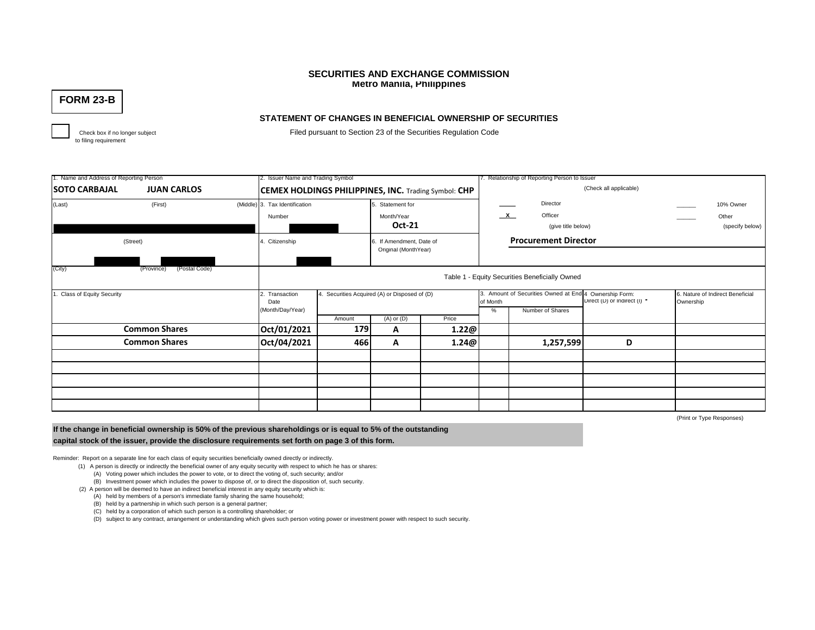# **SECURITIES AND EXCHANGE COMMISSION Metro Manila, Philippines**

**FORM 23-B**

# **STATEMENT OF CHANGES IN BENEFICIAL OWNERSHIP OF SECURITIES**

to filing requirement

Check box if no longer subject Filed pursuant to Section 23 of the Securities Regulation Code

| . Name and Address of Reporting Person |                             | 2. Issuer Name and Trading Symbol                           |                                                |                                            |                                                  | 7. Relationship of Reporting Person to Issuer |                                                                            |                              |                           |                                       |  |  |
|----------------------------------------|-----------------------------|-------------------------------------------------------------|------------------------------------------------|--------------------------------------------|--------------------------------------------------|-----------------------------------------------|----------------------------------------------------------------------------|------------------------------|---------------------------|---------------------------------------|--|--|
| <b>SOTO CARBAJAL</b>                   |                             | <b>CEMEX HOLDINGS PHILIPPINES, INC. Trading Symbol: CHP</b> |                                                |                                            |                                                  | (Check all applicable)                        |                                                                            |                              |                           |                                       |  |  |
| (Last)                                 | (First)                     | (Middle) 3. Tax Identification<br>Number                    |                                                |                                            | 5. Statement for<br>Month/Year<br><b>Oct-21</b>  |                                               | Director<br>$\mathbf{x}$<br>Officer<br>(give title below)                  |                              |                           | 10% Owner<br>Other<br>(specify below) |  |  |
| (Street)                               |                             | 4. Citizenship                                              |                                                |                                            | 6. If Amendment, Date of<br>Original (MonthYear) |                                               | <b>Procurement Director</b>                                                |                              |                           |                                       |  |  |
| (City)                                 | (Postal Code)<br>(Province) |                                                             | Table 1 - Equity Securities Beneficially Owned |                                            |                                                  |                                               |                                                                            |                              |                           |                                       |  |  |
| Class of Equity Security               |                             | 2. Transaction<br>Date<br>(Month/Day/Year)                  |                                                | Securities Acquired (A) or Disposed of (D) |                                                  |                                               | 3. Amount of Securities Owned at End 4 Ownership Form:<br>Number of Shares | Direct (D) or Indirect (I) * | Ownership                 | 6. Nature of Indirect Beneficial      |  |  |
|                                        |                             |                                                             | Amount                                         | $(A)$ or $(D)$                             | Price                                            | %                                             |                                                                            |                              |                           |                                       |  |  |
|                                        | <b>Common Shares</b>        | Oct/01/2021                                                 | 179                                            | A                                          | 1.22@                                            |                                               |                                                                            |                              |                           |                                       |  |  |
| <b>Common Shares</b>                   |                             | Oct/04/2021                                                 | 466                                            | A                                          | 1.24@                                            |                                               | 1,257,599                                                                  | D                            |                           |                                       |  |  |
|                                        |                             |                                                             |                                                |                                            |                                                  |                                               |                                                                            |                              |                           |                                       |  |  |
|                                        |                             |                                                             |                                                |                                            |                                                  |                                               |                                                                            |                              |                           |                                       |  |  |
|                                        |                             |                                                             |                                                |                                            |                                                  |                                               |                                                                            |                              |                           |                                       |  |  |
|                                        |                             |                                                             |                                                |                                            |                                                  |                                               |                                                                            |                              |                           |                                       |  |  |
|                                        |                             |                                                             |                                                |                                            |                                                  |                                               |                                                                            |                              | (Print or Type Responses) |                                       |  |  |

(Print or Type Responses)

**If the change in beneficial ownership is 50% of the previous shareholdings or is equal to 5% of the outstanding** 

**capital stock of the issuer, provide the disclosure requirements set forth on page 3 of this form.**

Reminder: Report on a separate line for each class of equity securities beneficially owned directly or indirectly.

- (1) A person is directly or indirectly the beneficial owner of any equity security with respect to which he has or shares:
	- (A) Voting power which includes the power to vote, or to direct the voting of, such security; and/or
	- (B) Investment power which includes the power to dispose of, or to direct the disposition of, such security.

(2) A person will be deemed to have an indirect beneficial interest in any equity security which is:

- (A) held by members of a person's immediate family sharing the same household;
- (B) held by a partnership in which such person is a general partner;
- (C) held by a corporation of which such person is a controlling shareholder; or

(D) subject to any contract, arrangement or understanding which gives such person voting power or investment power with respect to such security.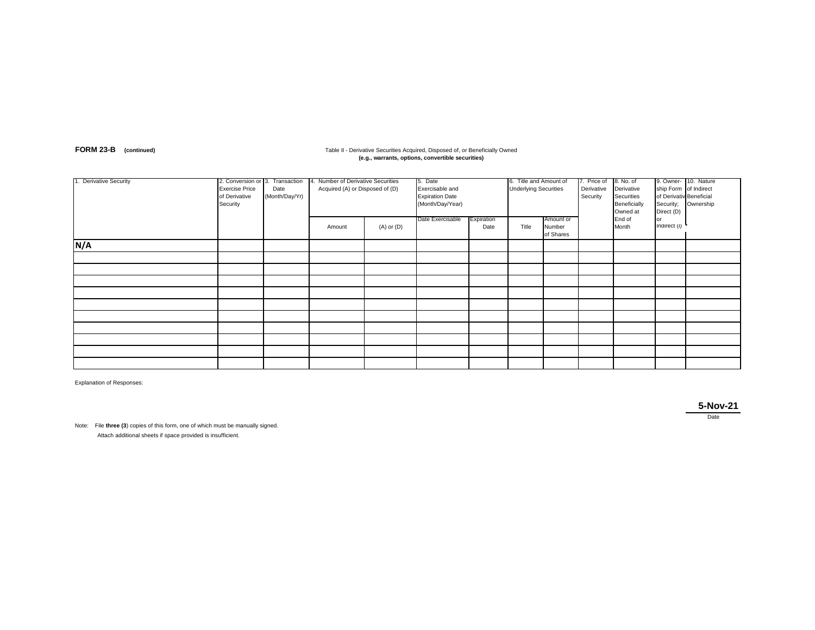## **FORM 23-B** (continued) **Table II - Derivative Securities Acquired, Disposed of, or Beneficially Owned (e.g., warrants, options, convertible securities)**

| 1. Derivative Security | 2. Conversion or 3. Transaction<br><b>Exercise Price</b><br>of Derivative<br>Security | Date<br>(Month/Day/Yr) | 4. Number of Derivative Securities<br>Acquired (A) or Disposed of (D) |                | 5. Date<br>Exercisable and<br><b>Expiration Date</b><br>(Month/Day/Year) |                    | 6. Title and Amount of<br><b>Underlying Securities</b> |                                  | 7. Price of<br>Derivative<br>Security | 8. No. of<br>Derivative<br>Securities<br>Beneficially<br>Owned at | ship Form of Indirect<br>of Derivativ Beneficial<br>Security;<br>Direct (D) | 9. Owner- 10. Nature<br>Ownership |
|------------------------|---------------------------------------------------------------------------------------|------------------------|-----------------------------------------------------------------------|----------------|--------------------------------------------------------------------------|--------------------|--------------------------------------------------------|----------------------------------|---------------------------------------|-------------------------------------------------------------------|-----------------------------------------------------------------------------|-----------------------------------|
|                        |                                                                                       |                        | Amount                                                                | $(A)$ or $(D)$ | Date Exercisable                                                         | Expiration<br>Date | Title                                                  | Amount or<br>Number<br>of Shares |                                       | End of<br>Month                                                   | or<br>Indirect (I)                                                          |                                   |
| N/A                    |                                                                                       |                        |                                                                       |                |                                                                          |                    |                                                        |                                  |                                       |                                                                   |                                                                             |                                   |
|                        |                                                                                       |                        |                                                                       |                |                                                                          |                    |                                                        |                                  |                                       |                                                                   |                                                                             |                                   |
|                        |                                                                                       |                        |                                                                       |                |                                                                          |                    |                                                        |                                  |                                       |                                                                   |                                                                             |                                   |
|                        |                                                                                       |                        |                                                                       |                |                                                                          |                    |                                                        |                                  |                                       |                                                                   |                                                                             |                                   |
|                        |                                                                                       |                        |                                                                       |                |                                                                          |                    |                                                        |                                  |                                       |                                                                   |                                                                             |                                   |
|                        |                                                                                       |                        |                                                                       |                |                                                                          |                    |                                                        |                                  |                                       |                                                                   |                                                                             |                                   |
|                        |                                                                                       |                        |                                                                       |                |                                                                          |                    |                                                        |                                  |                                       |                                                                   |                                                                             |                                   |
|                        |                                                                                       |                        |                                                                       |                |                                                                          |                    |                                                        |                                  |                                       |                                                                   |                                                                             |                                   |
|                        |                                                                                       |                        |                                                                       |                |                                                                          |                    |                                                        |                                  |                                       |                                                                   |                                                                             |                                   |
|                        |                                                                                       |                        |                                                                       |                |                                                                          |                    |                                                        |                                  |                                       |                                                                   |                                                                             |                                   |
|                        |                                                                                       |                        |                                                                       |                |                                                                          |                    |                                                        |                                  |                                       |                                                                   |                                                                             |                                   |

Explanation of Responses:

**5-Nov-21** Date

Note: File **three (3**) copies of this form, one of which must be manually signed. Attach additional sheets if space provided is insufficient.